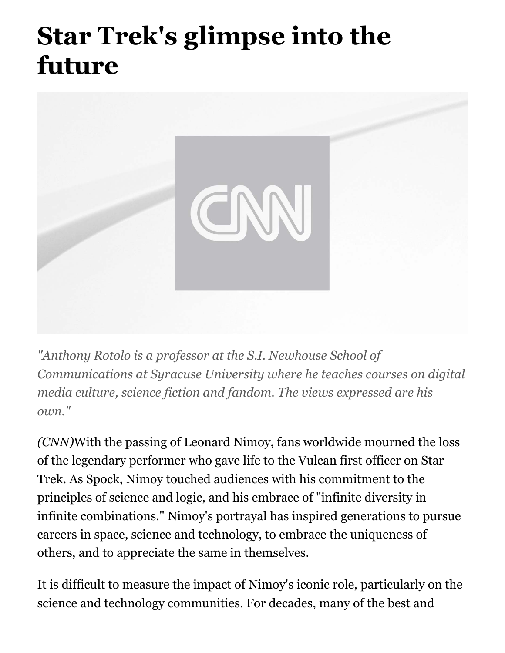## **Star Trek's glimpse into the future**



*"Anthony Rotolo is a professor at the S.I. Newhouse School of Communications at Syracuse University where he teaches courses on digital media culture, science fiction and fandom. The views expressed are his own."*

*(CNN)*With the passing of Leonard Nimoy, fans worldwide mourned the loss of the legendary performer who gave life to the Vulcan first officer on Star Trek. As Spock, Nimoy touched audiences with his commitment to the principles of science and logic, and his embrace of "infinite diversity in infinite combinations." Nimoy's portrayal has inspired generations to pursue careers in space, science and technology, to embrace the uniqueness of others, and to appreciate the same in themselves.

It is difficult to measure the impact of Nimoy's iconic role, particularly on the science and technology communities. For decades, many of the best and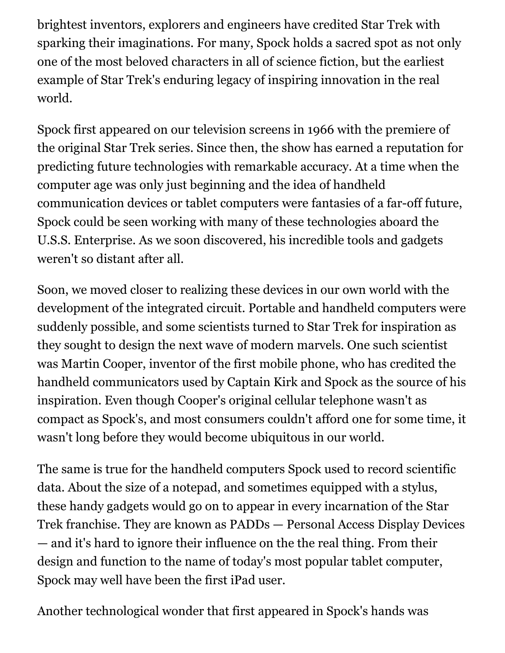brightest inventors, explorers and engineers have credited Star Trek with sparking their imaginations. For many, Spock holds a sacred spot as not only one of the most beloved characters in all of science fiction, but the earliest example of Star Trek's enduring legacy of inspiring innovation in the real world.

Spock first appeared on our television screens in 1966 with the premiere of the original Star Trek series. Since then, the show has earned a reputation for predicting future technologies with remarkable accuracy. At a time when the computer age was only just beginning and the idea of handheld communication devices or tablet computers were fantasies of a far-off future, Spock could be seen working with many of these technologies aboard the U.S.S. Enterprise. As we soon discovered, his incredible tools and gadgets weren't so distant after all.

Soon, we moved closer to realizing these devices in our own world with the development of the integrated circuit. Portable and handheld computers were suddenly possible, and some scientists turned to Star Trek for inspiration as they sought to design the next wave of modern marvels. One such scientist was Martin Cooper, inventor of the first mobile phone, who has credited the handheld communicators used by Captain Kirk and Spock as the source of his inspiration. Even though Cooper's original cellular telephone wasn't as compact as Spock's, and most consumers couldn't afford one for some time, it wasn't long before they would become ubiquitous in our world.

The same is true for the handheld computers Spock used to record scientific data. About the size of a notepad, and sometimes equipped with a stylus, these handy gadgets would go on to appear in every incarnation of the Star Trek franchise. They are known as PADDs — Personal Access Display Devices — and it's hard to ignore their influence on the the real thing. From their design and function to the name of today's most popular tablet computer, Spock may well have been the first iPad user.

Another technological wonder that first appeared in Spock's hands was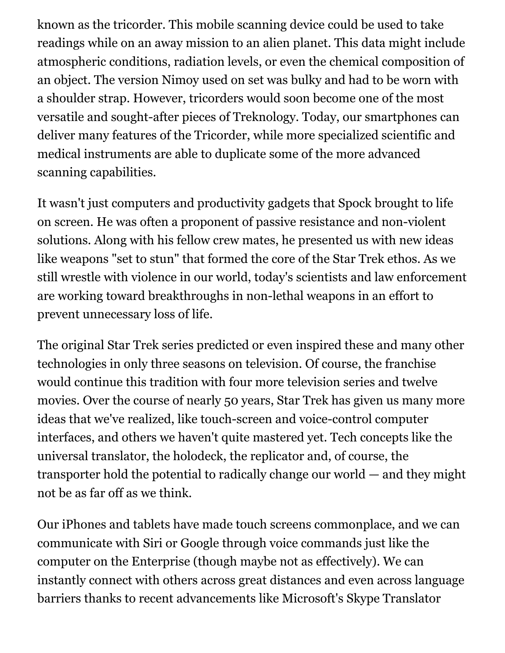known as the tricorder. This mobile scanning device could be used to take readings while on an away mission to an alien planet. This data might include atmospheric conditions, radiation levels, or even the chemical composition of an object. The version Nimoy used on set was bulky and had to be worn with a shoulder strap. However, tricorders would soon become one of the most versatile and sought-after pieces of Treknology. Today, our smartphones can deliver many features of the Tricorder, while more specialized scientific and medical instruments are able to duplicate some of the more advanced scanning capabilities.

It wasn't just computers and productivity gadgets that Spock brought to life on screen. He was often a proponent of passive resistance and non-violent solutions. Along with his fellow crew mates, he presented us with new ideas like weapons "set to stun" that formed the core of the Star Trek ethos. As we still wrestle with violence in our world, today's scientists and law enforcement are working toward breakthroughs in non-lethal weapons in an effort to prevent unnecessary loss of life.

The original Star Trek series predicted or even inspired these and many other technologies in only three seasons on television. Of course, the franchise would continue this tradition with four more television series and twelve movies. Over the course of nearly 50 years, Star Trek has given us many more ideas that we've realized, like touch-screen and voice-control computer interfaces, and others we haven't quite mastered yet. Tech concepts like the universal translator, the holodeck, the replicator and, of course, the transporter hold the potential to radically change our world — and they might not be as far off as we think.

Our iPhones and tablets have made touch screens commonplace, and we can communicate with Siri or Google through voice commands just like the computer on the Enterprise (though maybe not as effectively). We can instantly connect with others across great distances and even across language barriers thanks to recent advancements like Microsoft's Skype Translator